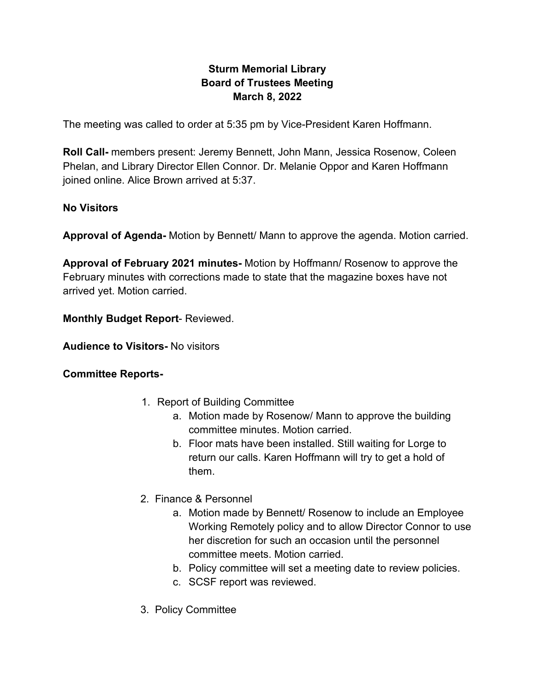# **Sturm Memorial Library Board of Trustees Meeting March 8, 2022**

The meeting was called to order at 5:35 pm by Vice-President Karen Hoffmann.

**Roll Call-** members present: Jeremy Bennett, John Mann, Jessica Rosenow, Coleen Phelan, and Library Director Ellen Connor. Dr. Melanie Oppor and Karen Hoffmann joined online. Alice Brown arrived at 5:37.

#### **No Visitors**

**Approval of Agenda-** Motion by Bennett/ Mann to approve the agenda. Motion carried.

**Approval of February 2021 minutes-** Motion by Hoffmann/ Rosenow to approve the February minutes with corrections made to state that the magazine boxes have not arrived yet. Motion carried.

**Monthly Budget Report**- Reviewed.

**Audience to Visitors-** No visitors

### **Committee Reports-**

- 1. Report of Building Committee
	- a. Motion made by Rosenow/ Mann to approve the building committee minutes. Motion carried.
	- b. Floor mats have been installed. Still waiting for Lorge to return our calls. Karen Hoffmann will try to get a hold of them.
- 2. Finance & Personnel
	- a. Motion made by Bennett/ Rosenow to include an Employee Working Remotely policy and to allow Director Connor to use her discretion for such an occasion until the personnel committee meets. Motion carried.
	- b. Policy committee will set a meeting date to review policies.
	- c. SCSF report was reviewed.
- 3. Policy Committee